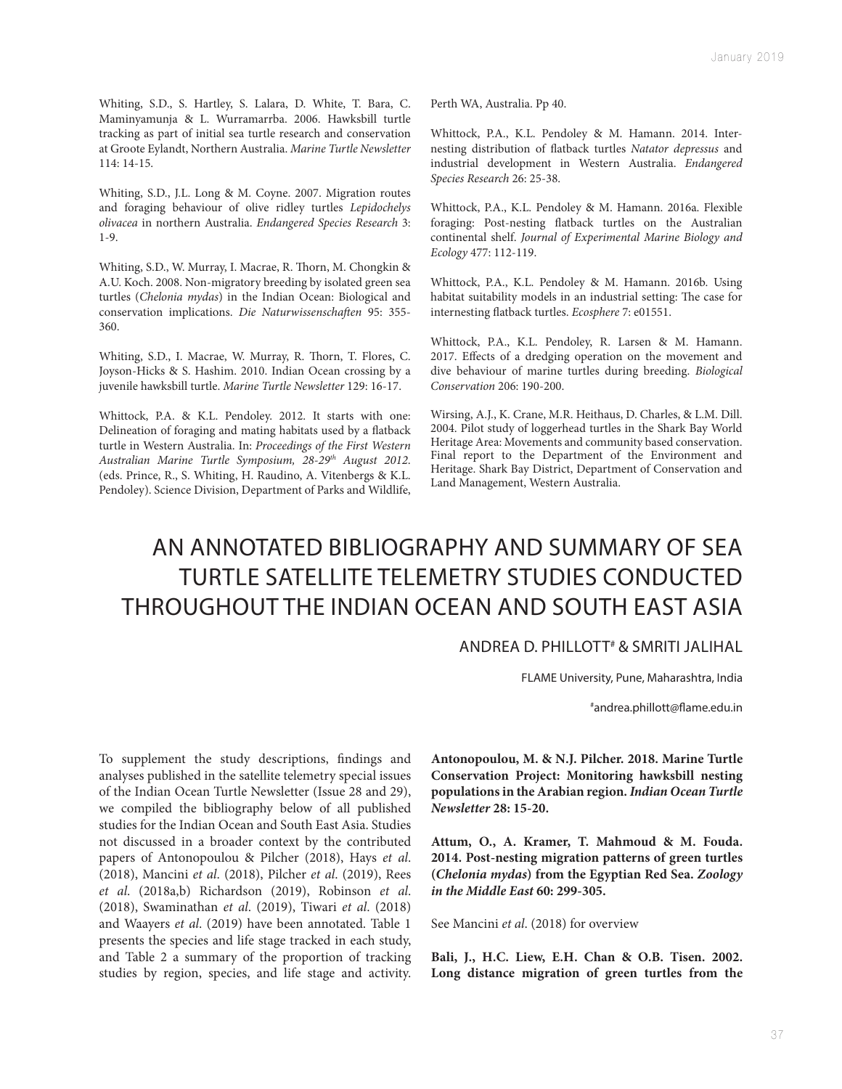Whiting, S.D., S. Hartley, S. Lalara, D. White, T. Bara, C. Maminyamunja & L. Wurramarrba. 2006. Hawksbill turtle tracking as part of initial sea turtle research and conservation at Groote Eylandt, Northern Australia. *Marine Turtle Newsletter* 114: 14-15.

Whiting, S.D., J.L. Long & M. Coyne. 2007. Migration routes and foraging behaviour of olive ridley turtles *Lepidochelys olivacea* in northern Australia. *Endangered Species Research* 3: 1-9.

Whiting, S.D., W. Murray, I. Macrae, R. Thorn, M. Chongkin & A.U. Koch. 2008. Non-migratory breeding by isolated green sea turtles (*Chelonia mydas*) in the Indian Ocean: Biological and conservation implications. *Die Naturwissenschaften* 95: 355- 360.

Whiting, S.D., I. Macrae, W. Murray, R. Thorn, T. Flores, C. Joyson-Hicks & S. Hashim. 2010. Indian Ocean crossing by a juvenile hawksbill turtle. *Marine Turtle Newsletter* 129: 16-17.

Whittock, P.A. & K.L. Pendoley. 2012. It starts with one: Delineation of foraging and mating habitats used by a flatback turtle in Western Australia. In: *Proceedings of the First Western Australian Marine Turtle Symposium, 28-29th August 2012*. (eds. Prince, R., S. Whiting, H. Raudino, A. Vitenbergs & K.L. Pendoley). Science Division, Department of Parks and Wildlife,

Perth WA, Australia. Pp 40.

Whittock, P.A., K.L. Pendoley & M. Hamann. 2014. Internesting distribution of flatback turtles *Natator depressus* and industrial development in Western Australia. *Endangered Species Research* 26: 25-38.

Whittock, P.A., K.L. Pendoley & M. Hamann. 2016a. Flexible foraging: Post-nesting flatback turtles on the Australian continental shelf. *Journal of Experimental Marine Biology and Ecology* 477: 112-119.

Whittock, P.A., K.L. Pendoley & M. Hamann. 2016b. Using habitat suitability models in an industrial setting: The case for internesting flatback turtles. *Ecosphere* 7: e01551.

Whittock, P.A., K.L. Pendoley, R. Larsen & M. Hamann. 2017. Effects of a dredging operation on the movement and dive behaviour of marine turtles during breeding. *Biological Conservation* 206: 190-200.

Wirsing, A.J., K. Crane, M.R. Heithaus, D. Charles, & L.M. Dill. 2004. Pilot study of loggerhead turtles in the Shark Bay World Heritage Area: Movements and community based conservation. Final report to the Department of the Environment and Heritage. Shark Bay District, Department of Conservation and Land Management, Western Australia.

## AN ANNOTATED BIBLIOGRAPHY AND SUMMARY OF SEA TURTLE SATELLITE TELEMETRY STUDIES CONDUCTED THROUGHOUT THE INDIAN OCEAN AND SOUTH EAST ASIA

## ANDREA D. PHILLOTT# & SMRITI JALIHAL

FLAME University, Pune, Maharashtra, India

# andrea.phillott@flame.edu.in

To supplement the study descriptions, findings and analyses published in the satellite telemetry special issues of the Indian Ocean Turtle Newsletter (Issue 28 and 29), we compiled the bibliography below of all published studies for the Indian Ocean and South East Asia. Studies not discussed in a broader context by the contributed papers of Antonopoulou & Pilcher (2018), Hays *et al*. (2018), Mancini *et al*. (2018), Pilcher *et al*. (2019), Rees *et al*. (2018a,b) Richardson (2019), Robinson *et al*. (2018), Swaminathan *et al*. (2019), Tiwari *et al*. (2018) and Waayers *et al*. (2019) have been annotated. Table 1 presents the species and life stage tracked in each study, and Table 2 a summary of the proportion of tracking studies by region, species, and life stage and activity.

**Antonopoulou, M. & N.J. Pilcher. 2018. Marine Turtle Conservation Project: Monitoring hawksbill nesting populations in the Arabian region.** *Indian Ocean Turtle Newsletter* **28: 15-20.**

**Attum, O., A. Kramer, T. Mahmoud & M. Fouda. 2014. Post-nesting migration patterns of green turtles (***Chelonia mydas***) from the Egyptian Red Sea.** *Zoology in the Middle East* **60: 299-305.**

See Mancini *et al*. (2018) for overview

**Bali, J., H.C. Liew, E.H. Chan & O.B. Tisen. 2002. Long distance migration of green turtles from the**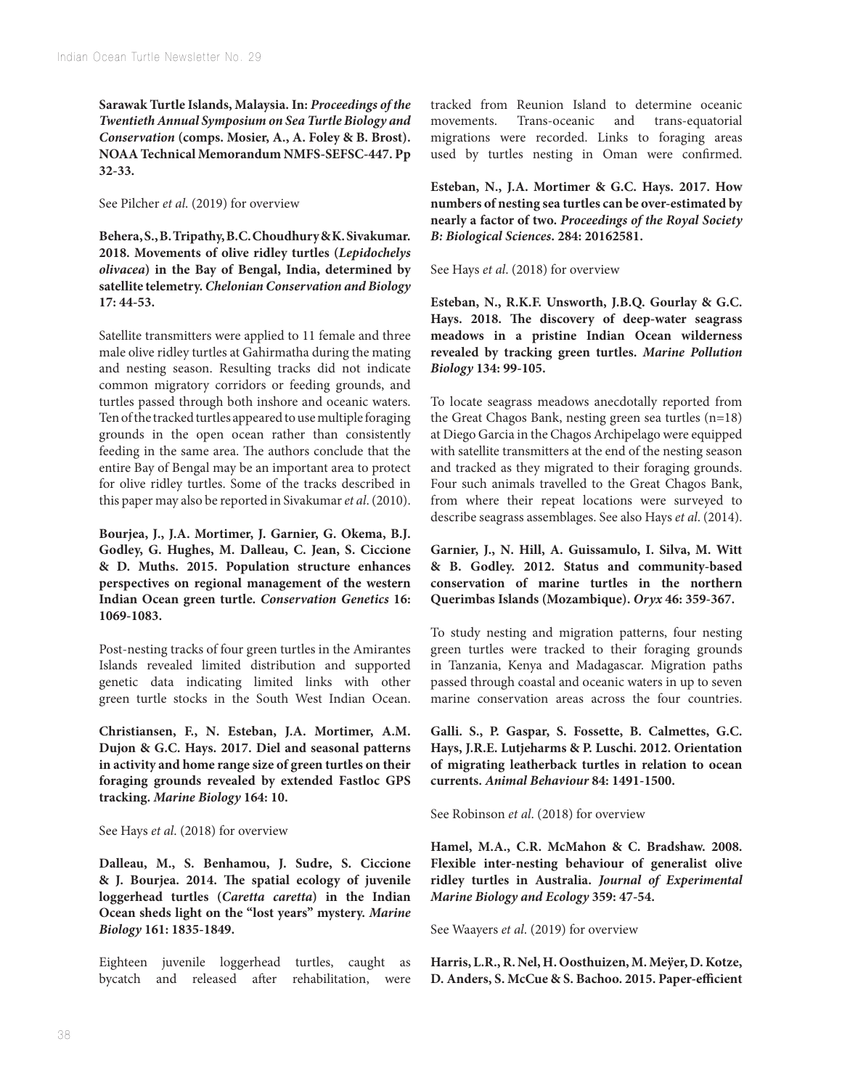**Sarawak Turtle Islands, Malaysia. In:** *Proceedings of the Twentieth Annual Symposium on Sea Turtle Biology and Conservation* **(comps. Mosier, A., A. Foley & B. Brost). NOAA Technical Memorandum NMFS-SEFSC-447. Pp 32-33.**

See Pilcher *et al*. (2019) for overview

**Behera, S., B. Tripathy, B.C. Choudhury & K. Sivakumar. 2018. Movements of olive ridley turtles (***Lepidochelys olivacea***) in the Bay of Bengal, India, determined by satellite telemetry.** *Chelonian Conservation and Biology* **17: 44-53.**

Satellite transmitters were applied to 11 female and three male olive ridley turtles at Gahirmatha during the mating and nesting season. Resulting tracks did not indicate common migratory corridors or feeding grounds, and turtles passed through both inshore and oceanic waters. Ten of the tracked turtles appeared to use multiple foraging grounds in the open ocean rather than consistently feeding in the same area. The authors conclude that the entire Bay of Bengal may be an important area to protect for olive ridley turtles. Some of the tracks described in this paper may also be reported in Sivakumar *et al*. (2010).

**Bourjea, J., J.A. Mortimer, J. Garnier, G. Okema, B.J. Godley, G. Hughes, M. Dalleau, C. Jean, S. Ciccione & D. Muths. 2015. Population structure enhances perspectives on regional management of the western Indian Ocean green turtle.** *Conservation Genetics* **16: 1069-1083.**

Post-nesting tracks of four green turtles in the Amirantes Islands revealed limited distribution and supported genetic data indicating limited links with other green turtle stocks in the South West Indian Ocean.

**Christiansen, F., N. Esteban, J.A. Mortimer, A.M. Dujon & G.C. Hays. 2017. Diel and seasonal patterns in activity and home range size of green turtles on their foraging grounds revealed by extended Fastloc GPS tracking.** *Marine Biology* **164: 10.**

See Hays *et al*. (2018) for overview

**Dalleau, M., S. Benhamou, J. Sudre, S. Ciccione & J. Bourjea. 2014. The spatial ecology of juvenile loggerhead turtles (***Caretta caretta***) in the Indian Ocean sheds light on the "lost years" mystery.** *Marine Biology* **161: 1835-1849.**

Eighteen juvenile loggerhead turtles, caught as bycatch and released after rehabilitation, were tracked from Reunion Island to determine oceanic movements. Trans-oceanic and trans-equatorial migrations were recorded. Links to foraging areas used by turtles nesting in Oman were confirmed.

**Esteban, N., J.A. Mortimer & G.C. Hays. 2017. How numbers of nesting sea turtles can be over-estimated by nearly a factor of two.** *Proceedings of the Royal Society B: Biological Sciences***. 284: 20162581.**

See Hays *et al*. (2018) for overview

**Esteban, N., R.K.F. Unsworth, J.B.Q. Gourlay & G.C. Hays. 2018. The discovery of deep-water seagrass meadows in a pristine Indian Ocean wilderness revealed by tracking green turtles.** *Marine Pollution Biology* **134: 99-105.**

To locate seagrass meadows anecdotally reported from the Great Chagos Bank, nesting green sea turtles (n=18) at Diego Garcia in the Chagos Archipelago were equipped with satellite transmitters at the end of the nesting season and tracked as they migrated to their foraging grounds. Four such animals travelled to the Great Chagos Bank, from where their repeat locations were surveyed to describe seagrass assemblages. See also Hays *et al*. (2014).

**Garnier, J., N. Hill, A. Guissamulo, I. Silva, M. Witt & B. Godley. 2012. Status and community-based conservation of marine turtles in the northern Querimbas Islands (Mozambique).** *Oryx* **46: 359-367.**

To study nesting and migration patterns, four nesting green turtles were tracked to their foraging grounds in Tanzania, Kenya and Madagascar. Migration paths passed through coastal and oceanic waters in up to seven marine conservation areas across the four countries.

**Galli. S., P. Gaspar, S. Fossette, B. Calmettes, G.C. Hays, J.R.E. Lutjeharms & P. Luschi. 2012. Orientation of migrating leatherback turtles in relation to ocean currents.** *Animal Behaviour* **84: 1491-1500.**

See Robinson *et al*. (2018) for overview

**Hamel, M.A., C.R. McMahon & C. Bradshaw. 2008. Flexible inter-nesting behaviour of generalist olive ridley turtles in Australia.** *Journal of Experimental Marine Biology and Ecology* **359: 47-54.**

See Waayers *et al*. (2019) for overview

**Harris, L.R., R. Nel, H. Oosthuizen, M. Meÿer, D. Kotze, D. Anders, S. McCue & S. Bachoo. 2015. Paper-efficient**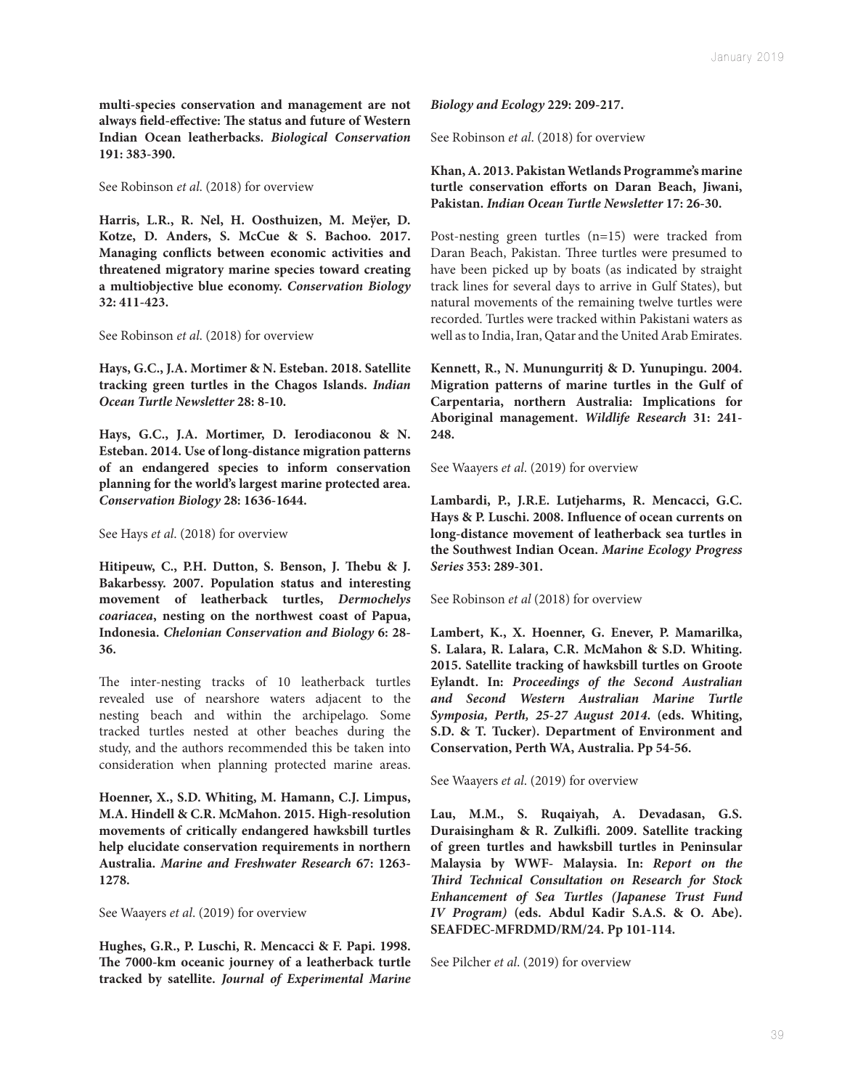**multi-species conservation and management are not always field-effective: The status and future of Western Indian Ocean leatherbacks.** *Biological Conservation* **191: 383-390.**

See Robinson *et al*. (2018) for overview

**Harris, L.R., R. Nel, H. Oosthuizen, M. Meÿer, D. Kotze, D. Anders, S. McCue & S. Bachoo. 2017. Managing conflicts between economic activities and threatened migratory marine species toward creating a multiobjective blue economy.** *Conservation Biology* **32: 411-423.**

See Robinson *et al*. (2018) for overview

**Hays, G.C., J.A. Mortimer & N. Esteban. 2018. Satellite tracking green turtles in the Chagos Islands.** *Indian Ocean Turtle Newsletter* **28: 8-10.**

**Hays, G.C., J.A. Mortimer, D. Ierodiaconou & N. Esteban. 2014. Use of long-distance migration patterns of an endangered species to inform conservation planning for the world's largest marine protected area.**  *Conservation Biology* **28: 1636-1644.**

See Hays *et al*. (2018) for overview

**Hitipeuw, C., P.H. Dutton, S. Benson, J. Thebu & J. Bakarbessy. 2007. Population status and interesting movement of leatherback turtles,** *Dermochelys coariacea***, nesting on the northwest coast of Papua, Indonesia.** *Chelonian Conservation and Biology* **6: 28- 36.**

The inter-nesting tracks of 10 leatherback turtles revealed use of nearshore waters adjacent to the nesting beach and within the archipelago. Some tracked turtles nested at other beaches during the study, and the authors recommended this be taken into consideration when planning protected marine areas.

**Hoenner, X., S.D. Whiting, M. Hamann, C.J. Limpus, M.A. Hindell & C.R. McMahon. 2015. High-resolution movements of critically endangered hawksbill turtles help elucidate conservation requirements in northern Australia.** *Marine and Freshwater Research* **67: 1263- 1278.**

See Waayers *et al*. (2019) for overview

**Hughes, G.R., P. Luschi, R. Mencacci & F. Papi. 1998. The 7000-km oceanic journey of a leatherback turtle tracked by satellite.** *Journal of Experimental Marine* 

*Biology and Ecology* **229: 209-217.**

See Robinson *et al*. (2018) for overview

**Khan, A. 2013. Pakistan Wetlands Programme's marine turtle conservation efforts on Daran Beach, Jiwani, Pakistan.** *Indian Ocean Turtle Newsletter* **17: 26-30.**

Post-nesting green turtles (n=15) were tracked from Daran Beach, Pakistan. Three turtles were presumed to have been picked up by boats (as indicated by straight track lines for several days to arrive in Gulf States), but natural movements of the remaining twelve turtles were recorded. Turtles were tracked within Pakistani waters as well as to India, Iran, Qatar and the United Arab Emirates.

**Kennett, R., N. Munungurritj & D. Yunupingu. 2004. Migration patterns of marine turtles in the Gulf of Carpentaria, northern Australia: Implications for Aboriginal management.** *Wildlife Research* **31: 241- 248.**

See Waayers *et al*. (2019) for overview

**Lambardi, P., J.R.E. Lutjeharms, R. Mencacci, G.C. Hays & P. Luschi. 2008. Influence of ocean currents on long-distance movement of leatherback sea turtles in the Southwest Indian Ocean.** *Marine Ecology Progress Series* **353: 289-301.**

See Robinson *et al* (2018) for overview

**Lambert, K., X. Hoenner, G. Enever, P. Mamarilka, S. Lalara, R. Lalara, C.R. McMahon & S.D. Whiting. 2015. Satellite tracking of hawksbill turtles on Groote Eylandt. In:** *Proceedings of the Second Australian and Second Western Australian Marine Turtle Symposia, Perth, 25-27 August 2014***. (eds. Whiting, S.D. & T. Tucker). Department of Environment and Conservation, Perth WA, Australia. Pp 54-56.**

See Waayers *et al*. (2019) for overview

**Lau, M.M., S. Ruqaiyah, A. Devadasan, G.S. Duraisingham & R. Zulkifli. 2009. Satellite tracking of green turtles and hawksbill turtles in Peninsular Malaysia by WWF- Malaysia. In:** *Report on the Third Technical Consultation on Research for Stock Enhancement of Sea Turtles (Japanese Trust Fund IV Program)* **(eds. Abdul Kadir S.A.S. & O. Abe). SEAFDEC-MFRDMD/RM/24. Pp 101-114.**

See Pilcher *et al*. (2019) for overview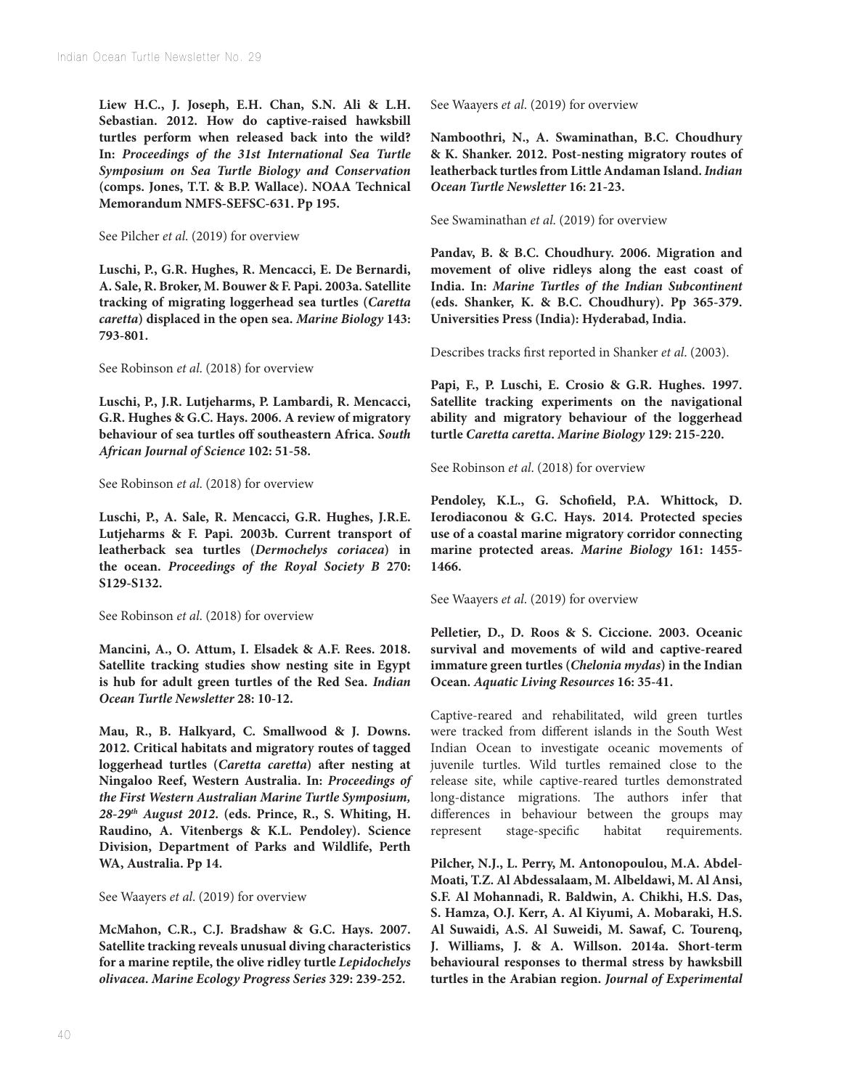**Liew H.C., J. Joseph, E.H. Chan, S.N. Ali & L.H. Sebastian. 2012. How do captive-raised hawksbill turtles perform when released back into the wild? In:** *Proceedings of the 31st International Sea Turtle Symposium on Sea Turtle Biology and Conservation* **(comps. Jones, T.T. & B.P. Wallace). NOAA Technical Memorandum NMFS-SEFSC-631. Pp 195.**

See Pilcher *et al*. (2019) for overview

**Luschi, P., G.R. Hughes, R. Mencacci, E. De Bernardi, A. Sale, R. Broker, M. Bouwer & F. Papi. 2003a. Satellite tracking of migrating loggerhead sea turtles (***Caretta caretta***) displaced in the open sea.** *Marine Biology* **143: 793-801.**

See Robinson *et al*. (2018) for overview

**Luschi, P., J.R. Lutjeharms, P. Lambardi, R. Mencacci, G.R. Hughes & G.C. Hays. 2006. A review of migratory behaviour of sea turtles off southeastern Africa.** *South African Journal of Science* **102: 51-58.**

See Robinson *et al*. (2018) for overview

**Luschi, P., A. Sale, R. Mencacci, G.R. Hughes, J.R.E. Lutjeharms & F. Papi. 2003b. Current transport of leatherback sea turtles (***Dermochelys coriacea***) in the ocean.** *Proceedings of the Royal Society B* **270: S129-S132.**

See Robinson *et al*. (2018) for overview

**Mancini, A., O. Attum, I. Elsadek & A.F. Rees. 2018. Satellite tracking studies show nesting site in Egypt is hub for adult green turtles of the Red Sea.** *Indian Ocean Turtle Newsletter* **28: 10-12.**

**Mau, R., B. Halkyard, C. Smallwood & J. Downs. 2012. Critical habitats and migratory routes of tagged loggerhead turtles (***Caretta caretta***) after nesting at Ningaloo Reef, Western Australia. In:** *Proceedings of the First Western Australian Marine Turtle Symposium, 28-29th August 2012***. (eds. Prince, R., S. Whiting, H. Raudino, A. Vitenbergs & K.L. Pendoley). Science Division, Department of Parks and Wildlife, Perth WA, Australia. Pp 14.**

See Waayers *et al*. (2019) for overview

**McMahon, C.R., C.J. Bradshaw & G.C. Hays. 2007. Satellite tracking reveals unusual diving characteristics for a marine reptile, the olive ridley turtle** *Lepidochelys olivacea***.** *Marine Ecology Progress Series* **329: 239-252.**

See Waayers *et al*. (2019) for overview

**Namboothri, N., A. Swaminathan, B.C. Choudhury & K. Shanker. 2012. Post-nesting migratory routes of leatherback turtles from Little Andaman Island.** *Indian Ocean Turtle Newsletter* **16: 21-23.**

See Swaminathan *et al*. (2019) for overview

**Pandav, B. & B.C. Choudhury. 2006. Migration and movement of olive ridleys along the east coast of India. In:** *Marine Turtles of the Indian Subcontinent* **(eds. Shanker, K. & B.C. Choudhury). Pp 365-379. Universities Press (India): Hyderabad, India.**

Describes tracks first reported in Shanker *et al*. (2003).

**Papi, F., P. Luschi, E. Crosio & G.R. Hughes. 1997. Satellite tracking experiments on the navigational ability and migratory behaviour of the loggerhead turtle** *Caretta caretta***.** *Marine Biology* **129: 215-220.**

See Robinson *et al*. (2018) for overview

**Pendoley, K.L., G. Schofield, P.A. Whittock, D. Ierodiaconou & G.C. Hays. 2014. Protected species use of a coastal marine migratory corridor connecting marine protected areas.** *Marine Biology* **161: 1455- 1466.**

See Waayers *et al*. (2019) for overview

**Pelletier, D., D. Roos & S. Ciccione. 2003. Oceanic survival and movements of wild and captive-reared immature green turtles (***Chelonia mydas***) in the Indian Ocean.** *Aquatic Living Resources* **16: 35-41.**

Captive-reared and rehabilitated, wild green turtles were tracked from different islands in the South West Indian Ocean to investigate oceanic movements of juvenile turtles. Wild turtles remained close to the release site, while captive-reared turtles demonstrated long-distance migrations. The authors infer that differences in behaviour between the groups may represent stage-specific habitat requirements.

**Pilcher, N.J., L. Perry, M. Antonopoulou, M.A. Abdel-Moati, T.Z. Al Abdessalaam, M. Albeldawi, M. Al Ansi, S.F. Al Mohannadi, R. Baldwin, A. Chikhi, H.S. Das, S. Hamza, O.J. Kerr, A. Al Kiyumi, A. Mobaraki, H.S. Al Suwaidi, A.S. Al Suweidi, M. Sawaf, C. Tourenq, J. Williams, J. & A. Willson. 2014a. Short-term behavioural responses to thermal stress by hawksbill turtles in the Arabian region.** *Journal of Experimental*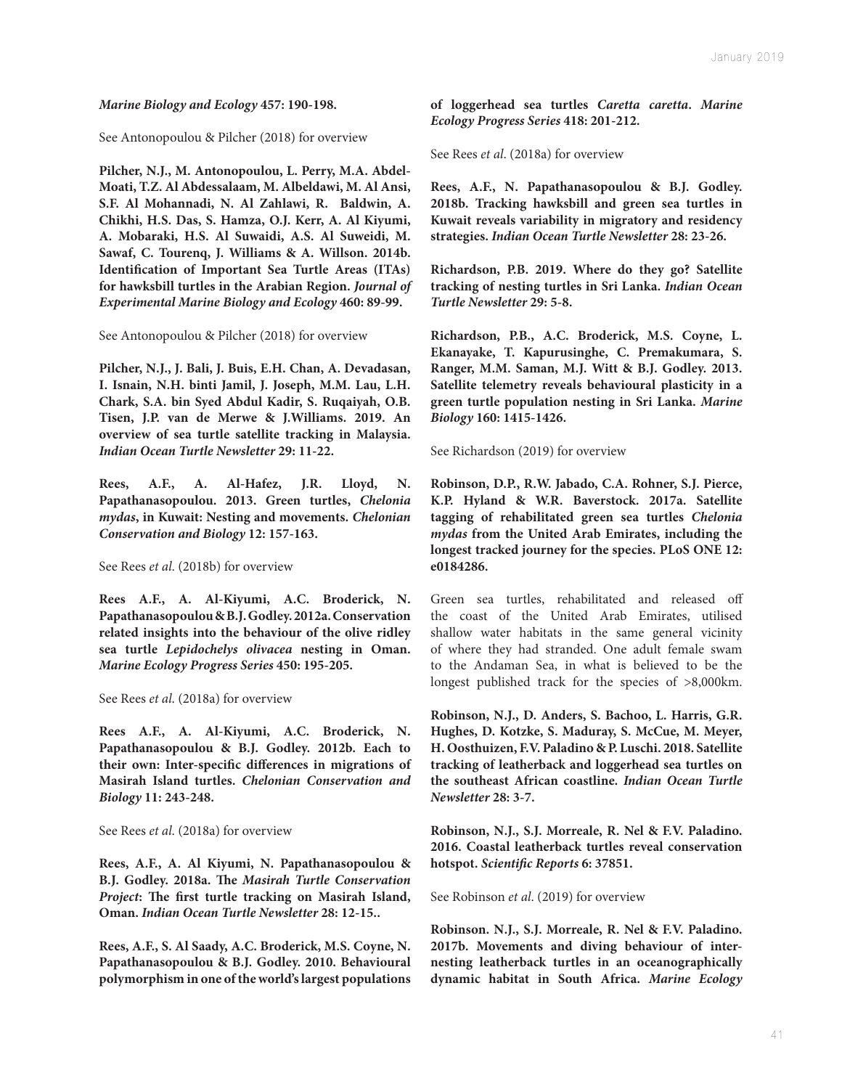*Marine Biology and Ecology* **457: 190-198.**

See Antonopoulou & Pilcher (2018) for overview

**Pilcher, N.J., M. Antonopoulou, L. Perry, M.A. Abdel-Moati, T.Z. Al Abdessalaam, M. Albeldawi, M. Al Ansi, S.F. Al Mohannadi, N. Al Zahlawi, R. Baldwin, A. Chikhi, H.S. Das, S. Hamza, O.J. Kerr, A. Al Kiyumi, A. Mobaraki, H.S. Al Suwaidi, A.S. Al Suweidi, M. Sawaf, C. Tourenq, J. Williams & A. Willson. 2014b. Identification of Important Sea Turtle Areas (ITAs) for hawksbill turtles in the Arabian Region.** *Journal of Experimental Marine Biology and Ecology* **460: 89-99.**

See Antonopoulou & Pilcher (2018) for overview

**Pilcher, N.J., J. Bali, J. Buis, E.H. Chan, A. Devadasan, I. Isnain, N.H. binti Jamil, J. Joseph, M.M. Lau, L.H. Chark, S.A. bin Syed Abdul Kadir, S. Ruqaiyah, O.B. Tisen, J.P. van de Merwe & J.Williams. 2019. An overview of sea turtle satellite tracking in Malaysia.**  *Indian Ocean Turtle Newsletter* **29: 11-22.**

**Rees, A.F., A. Al-Hafez, J.R. Lloyd, N. Papathanasopoulou. 2013. Green turtles,** *Chelonia mydas***, in Kuwait: Nesting and movements.** *Chelonian Conservation and Biology* **12: 157-163.**

See Rees *et al*. (2018b) for overview

**Rees A.F., A. Al-Kiyumi, A.C. Broderick, N. Papathanasopoulou & B.J. Godley. 2012a. Conservation related insights into the behaviour of the olive ridley sea turtle** *Lepidochelys olivacea* **nesting in Oman.** *Marine Ecology Progress Series* **450: 195-205.**

See Rees *et al*. (2018a) for overview

**Rees A.F., A. Al-Kiyumi, A.C. Broderick, N. Papathanasopoulou & B.J. Godley. 2012b. Each to their own: Inter-specific differences in migrations of Masirah Island turtles.** *Chelonian Conservation and Biology* **11: 243-248.**

See Rees *et al*. (2018a) for overview

**Rees, A.F., A. Al Kiyumi, N. Papathanasopoulou & B.J. Godley. 2018a. The** *Masirah Turtle Conservation Project***: The first turtle tracking on Masirah Island, Oman.** *Indian Ocean Turtle Newsletter* **28: 12-15..**

**Rees, A.F., S. Al Saady, A.C. Broderick, M.S. Coyne, N. Papathanasopoulou & B.J. Godley. 2010. Behavioural polymorphism in one of the world's largest populations**  **of loggerhead sea turtles** *Caretta caretta***.** *Marine Ecology Progress Series* **418: 201-212.**

See Rees *et al*. (2018a) for overview

**Rees, A.F., N. Papathanasopoulou & B.J. Godley. 2018b. Tracking hawksbill and green sea turtles in Kuwait reveals variability in migratory and residency strategies.** *Indian Ocean Turtle Newsletter* **28: 23-26.**

**Richardson, P.B. 2019. Where do they go? Satellite tracking of nesting turtles in Sri Lanka.** *Indian Ocean Turtle Newsletter* **29: 5-8.**

**Richardson, P.B., A.C. Broderick, M.S. Coyne, L. Ekanayake, T. Kapurusinghe, C. Premakumara, S. Ranger, M.M. Saman, M.J. Witt & B.J. Godley. 2013. Satellite telemetry reveals behavioural plasticity in a green turtle population nesting in Sri Lanka.** *Marine Biology* **160: 1415-1426.**

See Richardson (2019) for overview

**Robinson, D.P., R.W. Jabado, C.A. Rohner, S.J. Pierce, K.P. Hyland & W.R. Baverstock. 2017a. Satellite tagging of rehabilitated green sea turtles** *Chelonia mydas* **from the United Arab Emirates, including the longest tracked journey for the species. PLoS ONE 12: e0184286.**

Green sea turtles, rehabilitated and released off the coast of the United Arab Emirates, utilised shallow water habitats in the same general vicinity of where they had stranded. One adult female swam to the Andaman Sea, in what is believed to be the longest published track for the species of >8,000km.

**Robinson, N.J., D. Anders, S. Bachoo, L. Harris, G.R. Hughes, D. Kotzke, S. Maduray, S. McCue, M. Meyer, H. Oosthuizen, F.V. Paladino & P. Luschi. 2018. Satellite tracking of leatherback and loggerhead sea turtles on the southeast African coastline.** *Indian Ocean Turtle Newsletter* **28: 3-7.**

**Robinson, N.J., S.J. Morreale, R. Nel & F.V. Paladino. 2016. Coastal leatherback turtles reveal conservation hotspot.** *Scientific Reports* **6: 37851.**

See Robinson *et al*. (2019) for overview

**Robinson. N.J., S.J. Morreale, R. Nel & F.V. Paladino. 2017b. Movements and diving behaviour of internesting leatherback turtles in an oceanographically dynamic habitat in South Africa.** *Marine Ecology*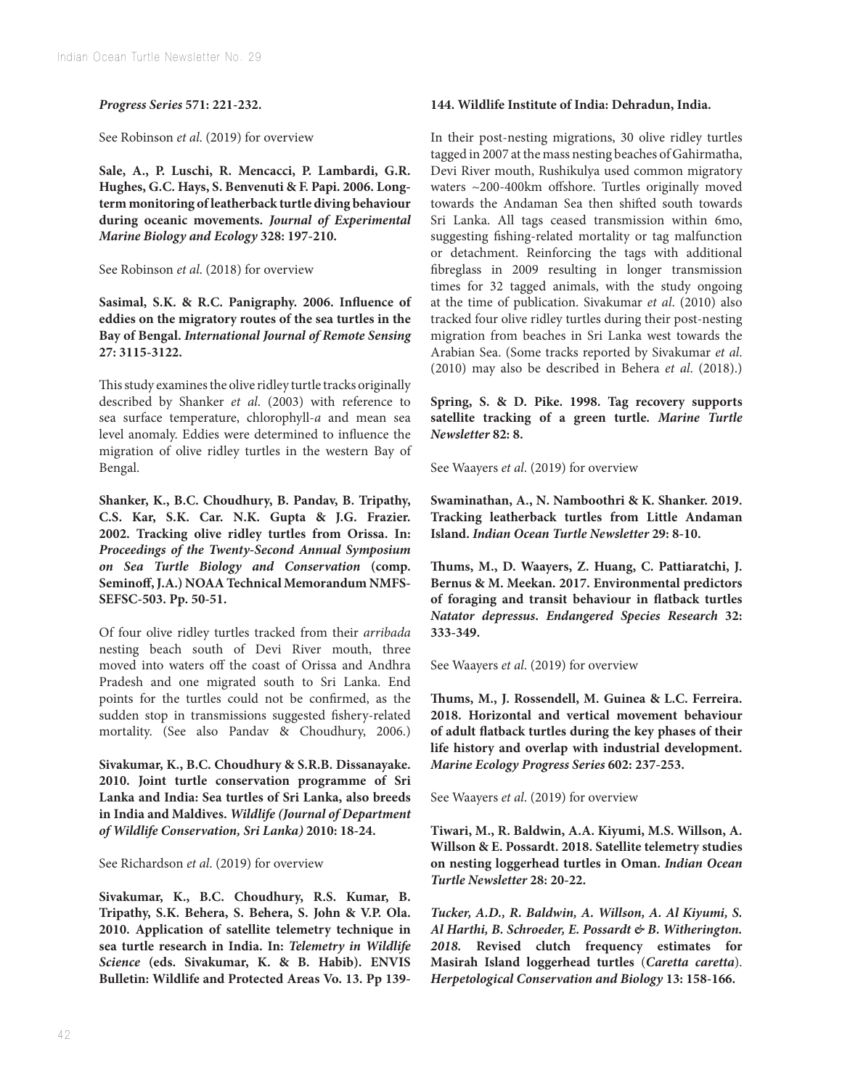## *Progress Series* **571: 221-232.**

See Robinson *et al*. (2019) for overview

**Sale, A., P. Luschi, R. Mencacci, P. Lambardi, G.R. Hughes, G.C. Hays, S. Benvenuti & F. Papi. 2006. Longterm monitoring of leatherback turtle diving behaviour during oceanic movements.** *Journal of Experimental Marine Biology and Ecology* **328: 197-210.**

See Robinson *et al*. (2018) for overview

**Sasimal, S.K. & R.C. Panigraphy. 2006. Influence of eddies on the migratory routes of the sea turtles in the Bay of Bengal.** *International Journal of Remote Sensing* **27: 3115-3122.**

This study examines the olive ridley turtle tracks originally described by Shanker *et al*. (2003) with reference to sea surface temperature, chlorophyll-*a* and mean sea level anomaly. Eddies were determined to influence the migration of olive ridley turtles in the western Bay of Bengal.

**Shanker, K., B.C. Choudhury, B. Pandav, B. Tripathy, C.S. Kar, S.K. Car. N.K. Gupta & J.G. Frazier. 2002. Tracking olive ridley turtles from Orissa. In:**  *Proceedings of the Twenty-Second Annual Symposium on Sea Turtle Biology and Conservation* **(comp. Seminoff, J.A.) NOAA Technical Memorandum NMFS-SEFSC-503. Pp. 50-51.**

Of four olive ridley turtles tracked from their *arribada* nesting beach south of Devi River mouth, three moved into waters off the coast of Orissa and Andhra Pradesh and one migrated south to Sri Lanka. End points for the turtles could not be confirmed, as the sudden stop in transmissions suggested fishery-related mortality. (See also Pandav & Choudhury, 2006.)

**Sivakumar, K., B.C. Choudhury & S.R.B. Dissanayake. 2010. Joint turtle conservation programme of Sri Lanka and India: Sea turtles of Sri Lanka, also breeds in India and Maldives.** *Wildlife (Journal of Department of Wildlife Conservation, Sri Lanka)* **2010: 18-24.**

See Richardson *et al*. (2019) for overview

**Sivakumar, K., B.C. Choudhury, R.S. Kumar, B. Tripathy, S.K. Behera, S. Behera, S. John & V.P. Ola. 2010. Application of satellite telemetry technique in sea turtle research in India. In:** *Telemetry in Wildlife Science* **(eds. Sivakumar, K. & B. Habib). ENVIS Bulletin: Wildlife and Protected Areas Vo. 13. Pp 139-**

## **144. Wildlife Institute of India: Dehradun, India.**

In their post-nesting migrations, 30 olive ridley turtles tagged in 2007 at the mass nesting beaches of Gahirmatha, Devi River mouth, Rushikulya used common migratory waters ~200-400km offshore. Turtles originally moved towards the Andaman Sea then shifted south towards Sri Lanka. All tags ceased transmission within 6mo, suggesting fishing-related mortality or tag malfunction or detachment. Reinforcing the tags with additional fibreglass in 2009 resulting in longer transmission times for 32 tagged animals, with the study ongoing at the time of publication. Sivakumar *et al*. (2010) also tracked four olive ridley turtles during their post-nesting migration from beaches in Sri Lanka west towards the Arabian Sea. (Some tracks reported by Sivakumar *et al*. (2010) may also be described in Behera *et al*. (2018).)

**Spring, S. & D. Pike. 1998. Tag recovery supports satellite tracking of a green turtle.** *Marine Turtle Newsletter* **82: 8.**

See Waayers *et al*. (2019) for overview

**Swaminathan, A., N. Namboothri & K. Shanker. 2019. Tracking leatherback turtles from Little Andaman Island.** *Indian Ocean Turtle Newsletter* **29: 8-10.**

**Thums, M., D. Waayers, Z. Huang, C. Pattiaratchi, J. Bernus & M. Meekan. 2017. Environmental predictors of foraging and transit behaviour in flatback turtles**  *Natator depressus***.** *Endangered Species Research* **32: 333-349.**

See Waayers *et al*. (2019) for overview

**Thums, M., J. Rossendell, M. Guinea & L.C. Ferreira. 2018. Horizontal and vertical movement behaviour of adult flatback turtles during the key phases of their life history and overlap with industrial development.**  *Marine Ecology Progress Series* **602: 237-253.**

See Waayers *et al*. (2019) for overview

**Tiwari, M., R. Baldwin, A.A. Kiyumi, M.S. Willson, A. Willson & E. Possardt. 2018. Satellite telemetry studies on nesting loggerhead turtles in Oman.** *Indian Ocean Turtle Newsletter* **28: 20-22.**

*Tucker, A.D., R. Baldwin, A. Willson, A. Al Kiyumi, S. Al Harthi, B. Schroeder, E. Possardt & B. Witherington. 2018.* **Revised clutch frequency estimates for Masirah Island loggerhead turtles** (*Caretta caretta*). *Herpetological Conservation and Biology* **13: 158-166.**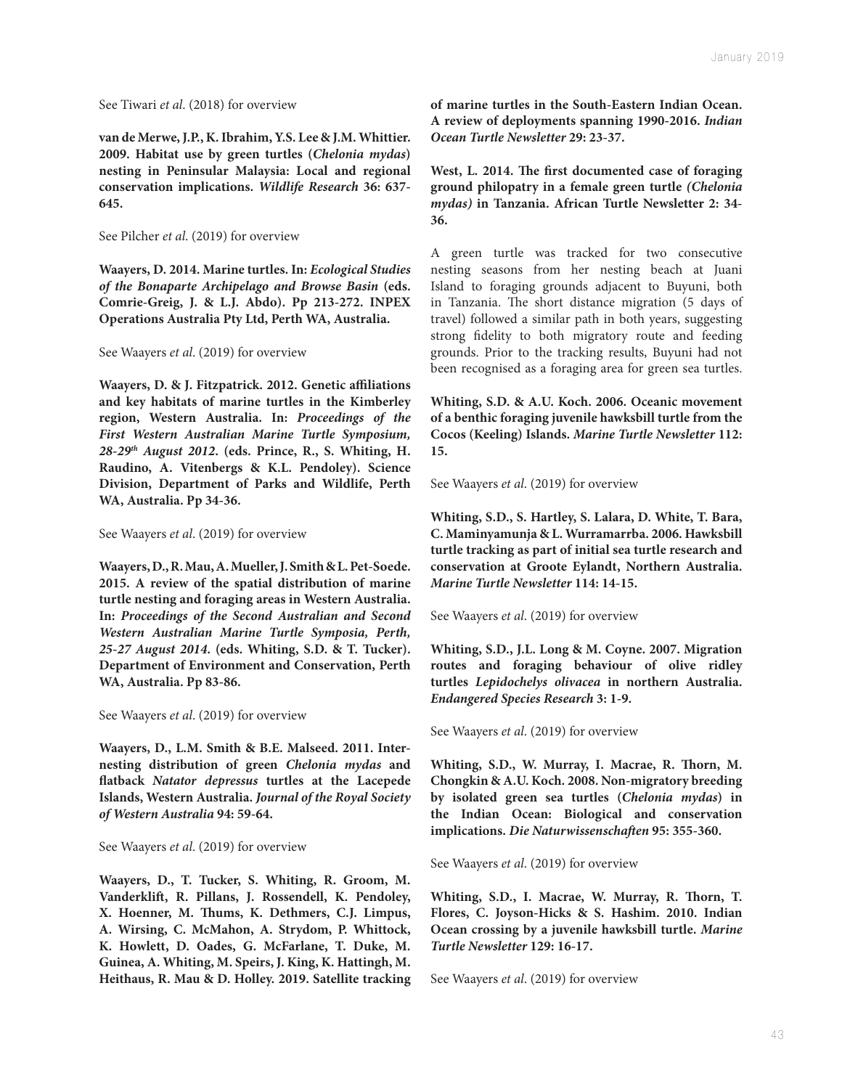See Tiwari *et al*. (2018) for overview

**van de Merwe, J.P., K. Ibrahim, Y.S. Lee & J.M. Whittier. 2009. Habitat use by green turtles (***Chelonia mydas***) nesting in Peninsular Malaysia: Local and regional conservation implications.** *Wildlife Research* **36: 637- 645.**

See Pilcher *et al*. (2019) for overview

**Waayers, D. 2014. Marine turtles. In:** *Ecological Studies of the Bonaparte Archipelago and Browse Basin* **(eds. Comrie-Greig, J. & L.J. Abdo). Pp 213-272. INPEX Operations Australia Pty Ltd, Perth WA, Australia.**

See Waayers *et al*. (2019) for overview

**Waayers, D. & J. Fitzpatrick. 2012. Genetic affiliations and key habitats of marine turtles in the Kimberley region, Western Australia. In:** *Proceedings of the First Western Australian Marine Turtle Symposium, 28-29th August 2012***. (eds. Prince, R., S. Whiting, H. Raudino, A. Vitenbergs & K.L. Pendoley). Science Division, Department of Parks and Wildlife, Perth WA, Australia. Pp 34-36.**

See Waayers *et al*. (2019) for overview

**Waayers, D., R. Mau, A. Mueller, J. Smith & L. Pet-Soede. 2015. A review of the spatial distribution of marine turtle nesting and foraging areas in Western Australia. In:** *Proceedings of the Second Australian and Second Western Australian Marine Turtle Symposia, Perth, 25-27 August 2014***. (eds. Whiting, S.D. & T. Tucker). Department of Environment and Conservation, Perth WA, Australia. Pp 83-86.**

See Waayers *et al*. (2019) for overview

**Waayers, D., L.M. Smith & B.E. Malseed. 2011. Internesting distribution of green** *Chelonia mydas* **and flatback** *Natator depressus* **turtles at the Lacepede Islands, Western Australia.** *Journal of the Royal Society of Western Australia* **94: 59-64.**

See Waayers *et al*. (2019) for overview

**Waayers, D., T. Tucker, S. Whiting, R. Groom, M. Vanderklift, R. Pillans, J. Rossendell, K. Pendoley, X. Hoenner, M. Thums, K. Dethmers, C.J. Limpus, A. Wirsing, C. McMahon, A. Strydom, P. Whittock, K. Howlett, D. Oades, G. McFarlane, T. Duke, M. Guinea, A. Whiting, M. Speirs, J. King, K. Hattingh, M. Heithaus, R. Mau & D. Holley. 2019. Satellite tracking**  **of marine turtles in the South-Eastern Indian Ocean. A review of deployments spanning 1990-2016.** *Indian Ocean Turtle Newsletter* **29: 23-37.**

**West, L. 2014. The first documented case of foraging ground philopatry in a female green turtle** *(Chelonia mydas)* **in Tanzania. African Turtle Newsletter 2: 34- 36.**

A green turtle was tracked for two consecutive nesting seasons from her nesting beach at Juani Island to foraging grounds adjacent to Buyuni, both in Tanzania. The short distance migration (5 days of travel) followed a similar path in both years, suggesting strong fidelity to both migratory route and feeding grounds. Prior to the tracking results, Buyuni had not been recognised as a foraging area for green sea turtles.

**Whiting, S.D. & A.U. Koch. 2006. Oceanic movement of a benthic foraging juvenile hawksbill turtle from the Cocos (Keeling) Islands.** *Marine Turtle Newsletter* **112: 15.**

See Waayers *et al*. (2019) for overview

**Whiting, S.D., S. Hartley, S. Lalara, D. White, T. Bara, C. Maminyamunja & L. Wurramarrba. 2006. Hawksbill turtle tracking as part of initial sea turtle research and conservation at Groote Eylandt, Northern Australia.**  *Marine Turtle Newsletter* **114: 14-15.**

See Waayers *et al*. (2019) for overview

**Whiting, S.D., J.L. Long & M. Coyne. 2007. Migration routes and foraging behaviour of olive ridley turtles** *Lepidochelys olivacea* **in northern Australia.**  *Endangered Species Research* **3: 1-9.**

See Waayers *et al*. (2019) for overview

**Whiting, S.D., W. Murray, I. Macrae, R. Thorn, M. Chongkin & A.U. Koch. 2008. Non-migratory breeding by isolated green sea turtles (***Chelonia mydas***) in the Indian Ocean: Biological and conservation implications.** *Die Naturwissenschaften* **95: 355-360.**

See Waayers *et al*. (2019) for overview

**Whiting, S.D., I. Macrae, W. Murray, R. Thorn, T. Flores, C. Joyson-Hicks & S. Hashim. 2010. Indian Ocean crossing by a juvenile hawksbill turtle.** *Marine Turtle Newsletter* **129: 16-17.**

See Waayers *et al*. (2019) for overview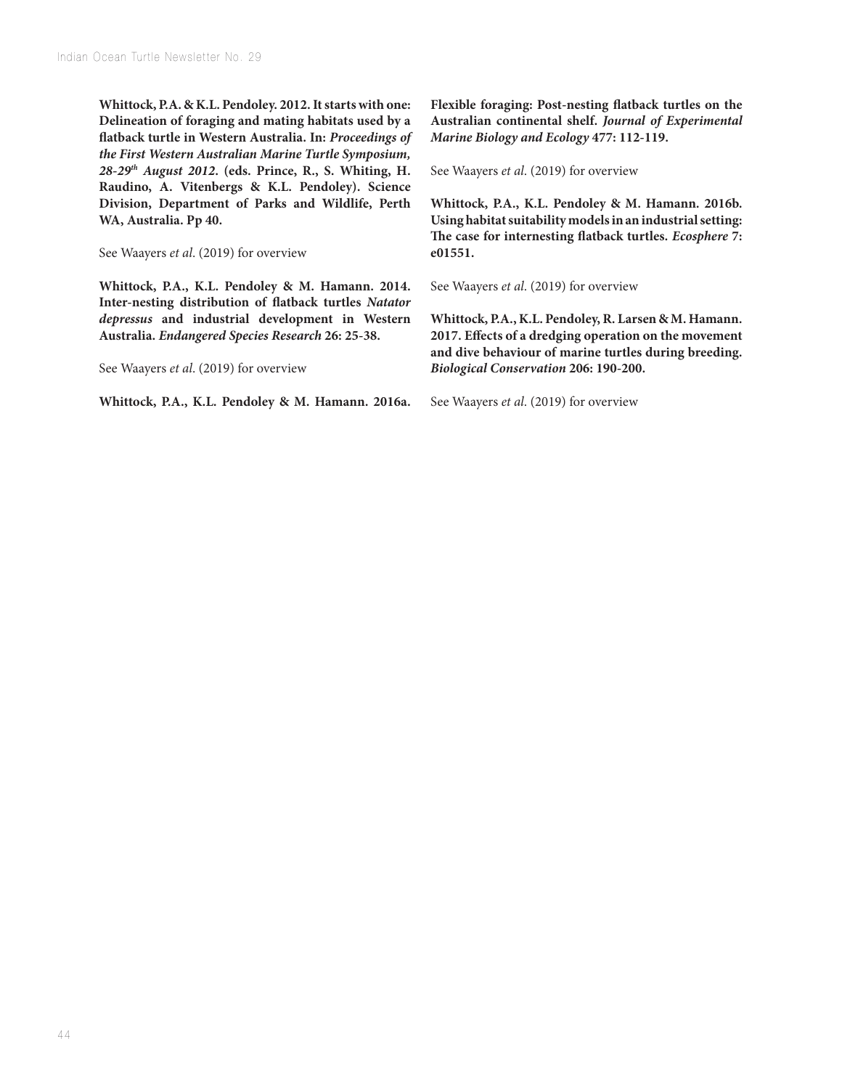**Whittock, P.A. & K.L. Pendoley. 2012. It starts with one: Delineation of foraging and mating habitats used by a flatback turtle in Western Australia. In:** *Proceedings of the First Western Australian Marine Turtle Symposium, 28-29th August 2012***. (eds. Prince, R., S. Whiting, H. Raudino, A. Vitenbergs & K.L. Pendoley). Science Division, Department of Parks and Wildlife, Perth WA, Australia. Pp 40.**

See Waayers *et al*. (2019) for overview

**Whittock, P.A., K.L. Pendoley & M. Hamann. 2014. Inter-nesting distribution of flatback turtles** *Natator depressus* **and industrial development in Western Australia.** *Endangered Species Research* **26: 25-38.**

See Waayers *et al*. (2019) for overview

**Whittock, P.A., K.L. Pendoley & M. Hamann. 2016a.** 

**Flexible foraging: Post-nesting flatback turtles on the Australian continental shelf.** *Journal of Experimental Marine Biology and Ecology* **477: 112-119.**

See Waayers *et al*. (2019) for overview

**Whittock, P.A., K.L. Pendoley & M. Hamann. 2016b. Using habitat suitability models in an industrial setting: The case for internesting flatback turtles.** *Ecosphere* **7: e01551.**

See Waayers *et al*. (2019) for overview

**Whittock, P.A., K.L. Pendoley, R. Larsen & M. Hamann. 2017. Effects of a dredging operation on the movement and dive behaviour of marine turtles during breeding.**  *Biological Conservation* **206: 190-200.**

See Waayers *et al*. (2019) for overview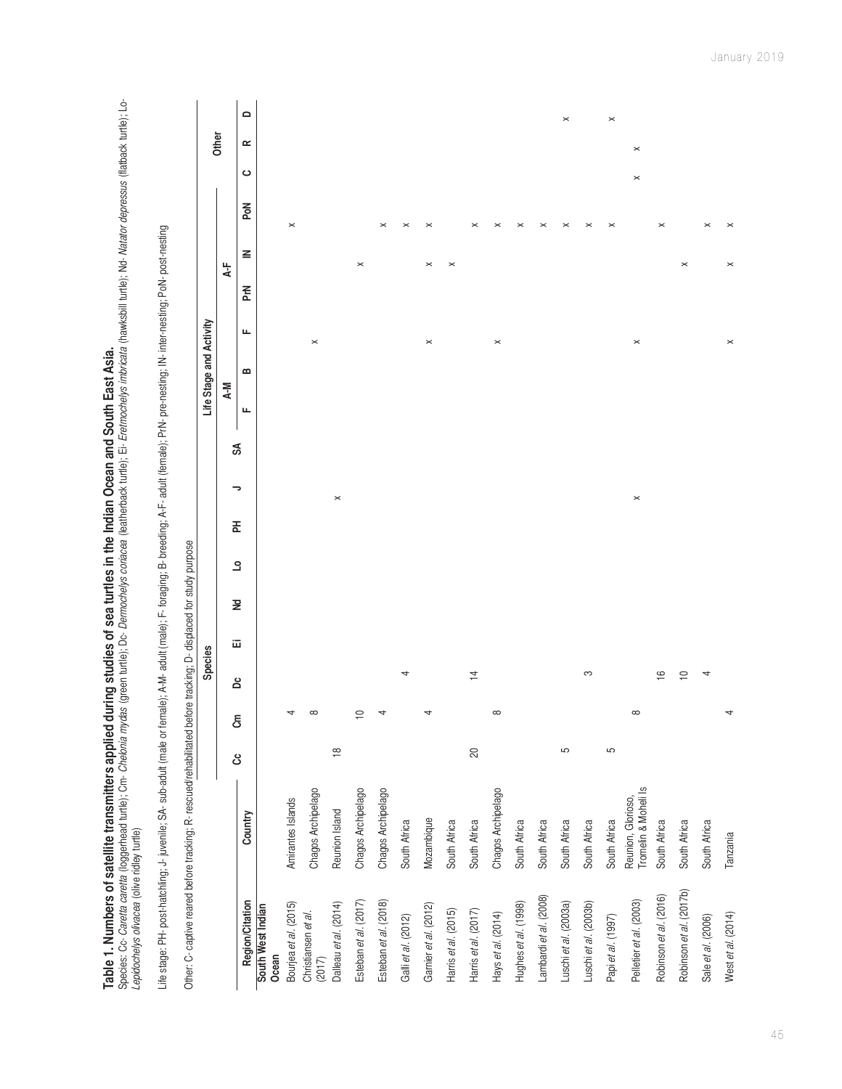| Species: Cc- <i>Caretta caretta</i> (loggerhead turtle); Cm- <i>Chelonia mydas</i> (green turtle); Dc- <i>Dermochelys coriacea</i> (leatherback turtle); Ei- <i>Eretmochelys imbricata</i> (hawksbill turtle); Nd- <i>Natator depressus</i> (flatback t<br>Table 1. Numbers of satellite transmitters applied during studies of sea turtles in the Indian Ocean and South East Asia.<br>Lepidochelys olivacea (olive ridley turtle) |                                            |                |          |                |   |                |   |                       |   |    |                         |                |   |                       |                       |                |          |                   |
|-------------------------------------------------------------------------------------------------------------------------------------------------------------------------------------------------------------------------------------------------------------------------------------------------------------------------------------------------------------------------------------------------------------------------------------|--------------------------------------------|----------------|----------|----------------|---|----------------|---|-----------------------|---|----|-------------------------|----------------|---|-----------------------|-----------------------|----------------|----------|-------------------|
| Life stage: PH- post-hatchling; J- juvenile; SA- sub-adult (male or female); A-M- adult (male); IP- foraging; A-F- adult (female); PrN- pre-nesting; IN- inter-nesting; PoN- post-nesting                                                                                                                                                                                                                                           |                                            |                |          |                |   |                |   |                       |   |    |                         |                |   |                       |                       |                |          |                   |
| Other: C- captive reared before tracking; R- rescued/rehabilitated before tracking; D- displaced for study purpose                                                                                                                                                                                                                                                                                                                  |                                            |                |          |                |   |                |   |                       |   |    |                         |                |   |                       |                       |                |          |                   |
|                                                                                                                                                                                                                                                                                                                                                                                                                                     |                                            |                |          | Species        |   |                |   |                       |   |    | Life Stage and Activity |                |   |                       |                       |                | Other    |                   |
|                                                                                                                                                                                                                                                                                                                                                                                                                                     |                                            | රි             | ලි<br>වි | å              | 靣 | $\overline{z}$ | ٩ | 폾                     | っ | SÁ | $A-M$                   |                |   | $4 -$                 |                       |                |          |                   |
| <b>Region/Citation</b>                                                                                                                                                                                                                                                                                                                                                                                                              | Country                                    |                |          |                |   |                |   |                       |   |    | щ                       | $\mathbf{a}$   | щ | ≧<br>PrN              |                       | P <sub>o</sub> | ≃<br>ပ   | $\mathbf{\Omega}$ |
| South West Indian<br>Ocean                                                                                                                                                                                                                                                                                                                                                                                                          |                                            |                |          |                |   |                |   |                       |   |    |                         |                |   |                       |                       |                |          |                   |
| Bourjea et al. (2015)                                                                                                                                                                                                                                                                                                                                                                                                               | Amirantes Islands                          |                |          |                |   |                |   |                       |   |    |                         |                |   |                       | $\times$              |                |          |                   |
| Christiansen et al.<br>(2017)                                                                                                                                                                                                                                                                                                                                                                                                       | Chagos Archipelago                         |                |          |                |   |                |   |                       |   |    |                         | $\times$       |   |                       |                       |                |          |                   |
| Dalleau et al. (2014)                                                                                                                                                                                                                                                                                                                                                                                                               | Reunion Island                             | $\frac{8}{10}$ |          |                |   |                |   | $\boldsymbol{\times}$ |   |    |                         |                |   |                       |                       |                |          |                   |
| Esteban et al. (2017)                                                                                                                                                                                                                                                                                                                                                                                                               | Chagos Archipelago                         |                | $\cong$  |                |   |                |   |                       |   |    |                         |                |   | $\boldsymbol{\times}$ |                       |                |          |                   |
| Esteban et al. (2018)                                                                                                                                                                                                                                                                                                                                                                                                               | Chagos Archipelago                         |                |          |                |   |                |   |                       |   |    |                         |                |   |                       | $\times$              |                |          |                   |
| Galli et al. (2012)                                                                                                                                                                                                                                                                                                                                                                                                                 | South Africa                               |                |          | 4              |   |                |   |                       |   |    |                         |                |   |                       | ×                     |                |          |                   |
| Garnier et al. (2012)                                                                                                                                                                                                                                                                                                                                                                                                               | Mozambique                                 |                |          |                |   |                |   |                       |   |    |                         | $\pmb{\times}$ |   | $\! \times$           | $\mathord{\times}$    |                |          |                   |
| Harris et al. (2015)                                                                                                                                                                                                                                                                                                                                                                                                                | South Africa                               |                |          |                |   |                |   |                       |   |    |                         |                |   | $\pmb{\times}$        |                       |                |          |                   |
| Harris et al. (2017)                                                                                                                                                                                                                                                                                                                                                                                                                | South Africa                               | $\infty$       |          | $\overline{4}$ |   |                |   |                       |   |    |                         |                |   |                       | $\pmb{\times}$        |                |          |                   |
| Hays et al. (2014)                                                                                                                                                                                                                                                                                                                                                                                                                  | Chagos Archipelago                         |                |          |                |   |                |   |                       |   |    |                         | $\pmb{\times}$ |   |                       | $\boldsymbol{\times}$ |                |          |                   |
| Hughes et al. (1998)                                                                                                                                                                                                                                                                                                                                                                                                                | South Africa                               |                |          |                |   |                |   |                       |   |    |                         |                |   |                       | $\pmb{\times}$        |                |          |                   |
| Lambardi et al. (2008)                                                                                                                                                                                                                                                                                                                                                                                                              | South Africa                               |                |          |                |   |                |   |                       |   |    |                         |                |   |                       | $\pmb{\times}$        |                |          |                   |
| Luschi et al. (2003a)                                                                                                                                                                                                                                                                                                                                                                                                               | South Africa                               | 5              |          |                |   |                |   |                       |   |    |                         |                |   |                       | $\boldsymbol{\times}$ |                |          | $\pmb{\times}$    |
| Luschi et al. (2003b)                                                                                                                                                                                                                                                                                                                                                                                                               | South Africa                               |                |          | S              |   |                |   |                       |   |    |                         |                |   |                       | $\times$              |                |          |                   |
| Papi et al. (1997)                                                                                                                                                                                                                                                                                                                                                                                                                  | South Africa                               | 5              |          |                |   |                |   |                       |   |    |                         |                |   |                       | $\times$              |                |          | $\times$          |
| Pelletier et al. (2003)                                                                                                                                                                                                                                                                                                                                                                                                             | Tromelin & Moheli Is<br>Reunion, Glorioso, |                |          |                |   |                |   | $\times$              |   |    |                         | $\times$       |   |                       |                       | $\times$       | $\times$ |                   |
| Robinson et al. (2016)                                                                                                                                                                                                                                                                                                                                                                                                              | South Africa                               |                |          | $\frac{6}{1}$  |   |                |   |                       |   |    |                         |                |   |                       | $\pmb{\times}$        |                |          |                   |
| Robinson et al. (2017b)                                                                                                                                                                                                                                                                                                                                                                                                             | South Africa                               |                |          | $\supseteq$    |   |                |   |                       |   |    |                         |                |   | $\boldsymbol{\times}$ |                       |                |          |                   |
| Sale et al. (2006)                                                                                                                                                                                                                                                                                                                                                                                                                  | South Africa                               |                |          | 4              |   |                |   |                       |   |    |                         |                |   |                       | $\boldsymbol{\times}$ |                |          |                   |
| West et al. (2014)                                                                                                                                                                                                                                                                                                                                                                                                                  | Tanzania                                   |                |          |                |   |                |   |                       |   |    |                         | $\pmb{\times}$ |   | $\! \times$           | $\times$              |                |          |                   |

January 2019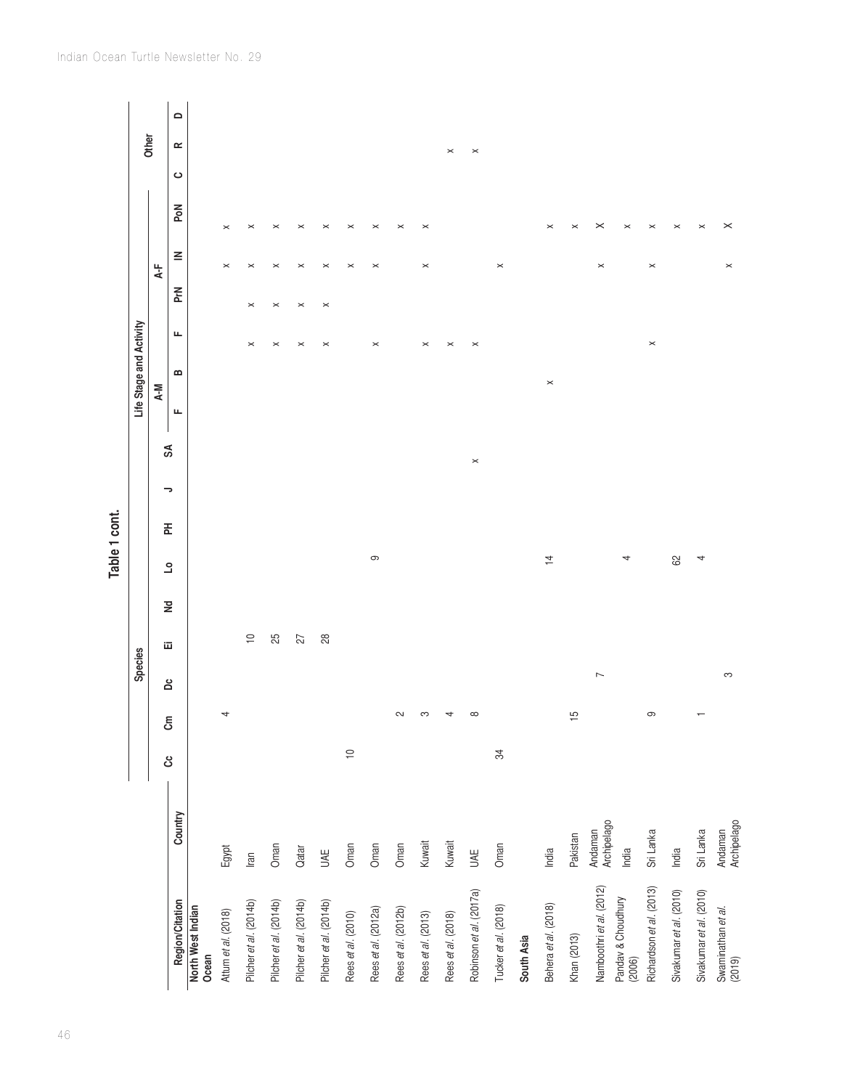|                                                          |                                 |             |               |                          |             |             | Table 1 cont.           |   |   |                |                         |                       |                |                       |                                   |   |                        |  |
|----------------------------------------------------------|---------------------------------|-------------|---------------|--------------------------|-------------|-------------|-------------------------|---|---|----------------|-------------------------|-----------------------|----------------|-----------------------|-----------------------------------|---|------------------------|--|
|                                                          |                                 |             |               | Species                  |             |             |                         |   |   |                | Life Stage and Activity |                       |                |                       |                                   |   | Other                  |  |
|                                                          |                                 |             |               |                          | 囸           |             |                         |   |   | SÁ             | $A-N$                   |                       |                | $A - F$               |                                   |   |                        |  |
| Region/Citation                                          | Country                         | ය           | සි            | å                        |             | $\tilde{z}$ | $\overline{\mathsf{C}}$ | Ŧ | っ |                | $\bf{m}$<br>щ           | щ                     | <b>PrN</b>     | $\leq$                | Nod                               | ပ | $\mathbf{\Omega}$<br>≃ |  |
| North West Indian<br>Ocean                               |                                 |             |               |                          |             |             |                         |   |   |                |                         |                       |                |                       |                                   |   |                        |  |
| Attum et al. (2018)                                      | Egypt                           |             | 4             |                          |             |             |                         |   |   |                |                         |                       |                | $\pmb{\times}$        | $\times$                          |   |                        |  |
| Pilcher et al. (2014b)                                   | Iran                            |             |               |                          | $\supseteq$ |             |                         |   |   |                |                         | $\boldsymbol{\times}$ | $\pmb{\times}$ | $\boldsymbol{\times}$ | $\times$                          |   |                        |  |
| Pilcher et al. (2014b)                                   | Oman                            |             |               |                          | 25          |             |                         |   |   |                |                         | $\times$              | $\times$       | $\times$              | $\times$                          |   |                        |  |
| Pilcher et al. (2014b)                                   | Qatar                           |             |               |                          | 27          |             |                         |   |   |                |                         | $\times$              | $\pmb{\times}$ | $\times$              | $\times$                          |   |                        |  |
| Pilcher et al. (2014b)                                   | UAE                             |             |               |                          | 28          |             |                         |   |   |                |                         | $\times$              | $\times$       | $\pmb{\times}$        | $\mathord{\times}$                |   |                        |  |
| Rees et al. (2010)                                       | Oman                            | $\supseteq$ |               |                          |             |             |                         |   |   |                |                         |                       |                | $\boldsymbol{\times}$ | $\times$                          |   |                        |  |
| Rees et al. (2012a)                                      | Oman                            |             |               |                          |             |             | $\infty$                |   |   |                |                         | $\! \times$           |                | $\pmb{\times}$        | $\pmb{\times}$                    |   |                        |  |
| Rees et al. (2012b)                                      | Oman                            |             | $\sim$        |                          |             |             |                         |   |   |                |                         |                       |                |                       | $\pmb{\times}$                    |   |                        |  |
| Rees et al. (2013)                                       | Kuwait                          |             | S             |                          |             |             |                         |   |   |                |                         | ×                     |                | $\pmb{\times}$        | $\times$                          |   |                        |  |
| Rees et al. (2018)                                       | Kuwait                          |             | 4             |                          |             |             |                         |   |   |                |                         | $\times$              |                |                       |                                   |   | $\boldsymbol{\times}$  |  |
| Robinson et al. (2017a)                                  | UAE                             |             | $\infty$      |                          |             |             |                         |   |   | $\pmb{\times}$ |                         | $\times$              |                |                       |                                   |   | $\pmb{\times}$         |  |
| Tucker et al. (2018)                                     | Oman                            | 34          |               |                          |             |             |                         |   |   |                |                         |                       |                | $\pmb{\times}$        |                                   |   |                        |  |
| South Asia                                               |                                 |             |               |                          |             |             |                         |   |   |                |                         |                       |                |                       |                                   |   |                        |  |
| Behera et al. (2018)                                     | India                           |             |               |                          |             |             | $\overline{4}$          |   |   |                | $\pmb{\times}$          |                       |                |                       | $\times$                          |   |                        |  |
| Khan (2013)                                              | Pakistan                        |             | $\frac{5}{2}$ |                          |             |             |                         |   |   |                |                         |                       |                |                       | $\mathord{\times}$                |   |                        |  |
| Namboothri et al. (2012)<br>Pandav & Choudhury<br>(2006) | Archipelago<br>Andaman<br>India |             |               | $\overline{\phantom{0}}$ |             |             | 4                       |   |   |                |                         |                       |                | $\times$              | $\boldsymbol{\times}$<br>$\times$ |   |                        |  |
| Richardson et al. (2013)                                 | Sri Lanka                       |             | $\circ$       |                          |             |             |                         |   |   |                |                         | $\pmb{\times}$        |                | $\pmb{\times}$        | $\boldsymbol{\times}$             |   |                        |  |
| Sivakumar et al. (2010)                                  | India                           |             |               |                          |             |             | 8                       |   |   |                |                         |                       |                |                       | $\boldsymbol{\times}$             |   |                        |  |
| Sivakumar et al. (2010)                                  | Sri Lanka                       |             |               |                          |             |             | 4                       |   |   |                |                         |                       |                |                       | $\pmb{\times}$                    |   |                        |  |
| Swaminathan <i>et al.</i><br>(2019)                      | Andaman<br>Archipelago          |             |               | S                        |             |             |                         |   |   |                |                         |                       |                | $\pmb{\times}$        | $\! \times$                       |   |                        |  |